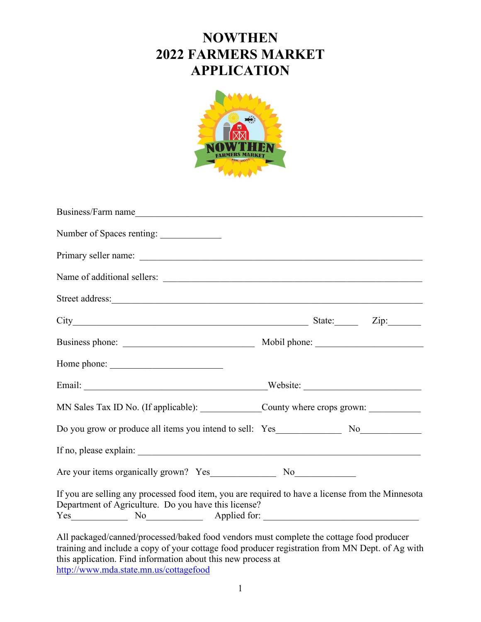## **NOWTHEN 2022 FARMERS MARKET APPLICATION**



| Business/Farm name                                                                                                                                                                          |  |  |
|---------------------------------------------------------------------------------------------------------------------------------------------------------------------------------------------|--|--|
| Number of Spaces renting:                                                                                                                                                                   |  |  |
|                                                                                                                                                                                             |  |  |
|                                                                                                                                                                                             |  |  |
|                                                                                                                                                                                             |  |  |
|                                                                                                                                                                                             |  |  |
|                                                                                                                                                                                             |  |  |
| Home phone:                                                                                                                                                                                 |  |  |
|                                                                                                                                                                                             |  |  |
| MN Sales Tax ID No. (If applicable): _______________County where crops grown: ______________________                                                                                        |  |  |
|                                                                                                                                                                                             |  |  |
|                                                                                                                                                                                             |  |  |
|                                                                                                                                                                                             |  |  |
| If you are selling any processed food item, you are required to have a license from the Minnesota<br>Department of Agriculture. Do you have this license?<br>Yes No Applied for:            |  |  |
| All packaged/canned/processed/baked food vendors must complete the cottage food producer<br>training and include a copy of your cottage food producer registration from MN Dept. of Ag with |  |  |

this application. Find information about this new process at <http://www.mda.state.mn.us/cottagefood>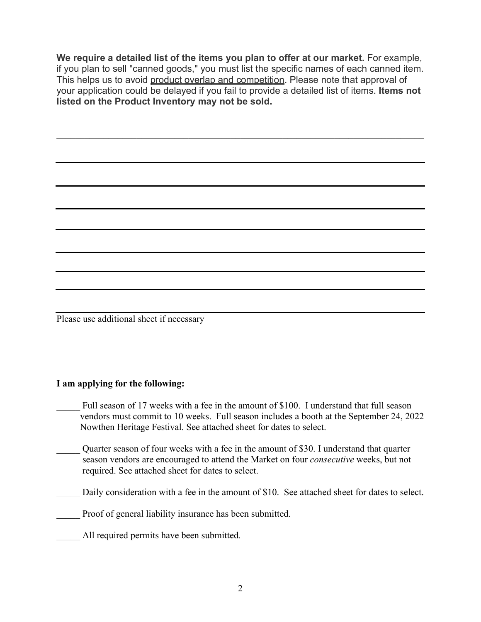**We require a detailed list of the items you plan to offer at our market.** For example, if you plan to sell "canned goods," you must list the specific names of each canned item. This helps us to avoid product overlap and competition. Please note that approval of your application could be delayed if you fail to provide a detailed list of items. **Items not listed on the Product Inventory may not be sold.**

Please use additional sheet if necessary

#### **I am applying for the following:**

- Full season of 17 weeks with a fee in the amount of \$100. I understand that full season vendors must commit to 10 weeks. Full season includes a booth at the September 24, 2022 Nowthen Heritage Festival. See attached sheet for dates to select.
- Quarter season of four weeks with a fee in the amount of \$30. I understand that quarter season vendors are encouraged to attend the Market on four *consecutive* weeks, but not required. See attached sheet for dates to select.
- Daily consideration with a fee in the amount of \$10. See attached sheet for dates to select.

Proof of general liability insurance has been submitted.

All required permits have been submitted.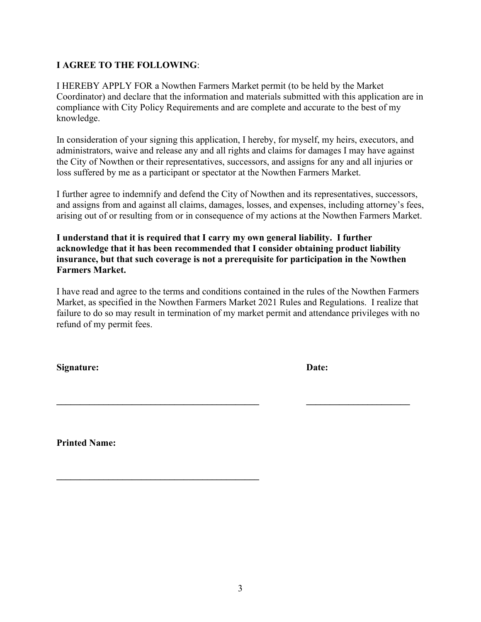### **I AGREE TO THE FOLLOWING**:

I HEREBY APPLY FOR a Nowthen Farmers Market permit (to be held by the Market Coordinator) and declare that the information and materials submitted with this application are in compliance with City Policy Requirements and are complete and accurate to the best of my knowledge.

In consideration of your signing this application, I hereby, for myself, my heirs, executors, and administrators, waive and release any and all rights and claims for damages I may have against the City of Nowthen or their representatives, successors, and assigns for any and all injuries or loss suffered by me as a participant or spectator at the Nowthen Farmers Market.

I further agree to indemnify and defend the City of Nowthen and its representatives, successors, and assigns from and against all claims, damages, losses, and expenses, including attorney's fees, arising out of or resulting from or in consequence of my actions at the Nowthen Farmers Market.

**I understand that it is required that I carry my own general liability. I further acknowledge that it has been recommended that I consider obtaining product liability insurance, but that such coverage is not a prerequisite for participation in the Nowthen Farmers Market.**

I have read and agree to the terms and conditions contained in the rules of the Nowthen Farmers Market, as specified in the Nowthen Farmers Market 2021 Rules and Regulations. I realize that failure to do so may result in termination of my market permit and attendance privileges with no refund of my permit fees.

**\_\_\_\_\_\_\_\_\_\_\_\_\_\_\_\_\_\_\_\_\_\_\_\_\_\_\_\_\_\_\_\_\_\_\_\_\_\_\_\_\_\_\_ \_\_\_\_\_\_\_\_\_\_\_\_\_\_\_\_\_\_\_\_\_\_** 

Signature: Date:

**Printed Name:** 

**\_\_\_\_\_\_\_\_\_\_\_\_\_\_\_\_\_\_\_\_\_\_\_\_\_\_\_\_\_\_\_\_\_\_\_\_\_\_\_\_\_\_\_**